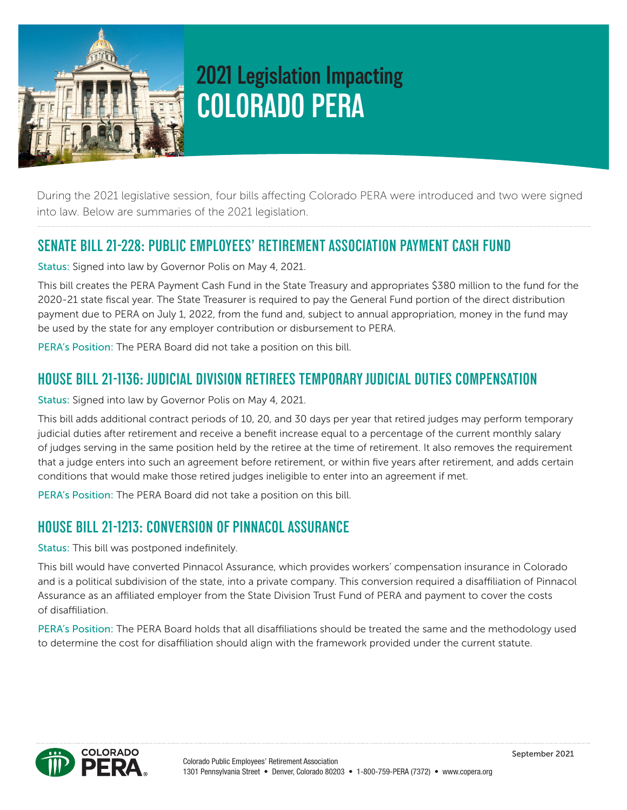

# **2021 Legislation Impacting COLORADO PERA**

During the 2021 legislative session, four bills affecting Colorado PERA were introduced and two were signed into law. Below are summaries of the 2021 legislation.

#### **SENATE BILL 21-228: PUBLIC EMPLOYEES' RETIREMENT ASSOCIATION PAYMENT CASH FUND**

Status: Signed into law by Governor Polis on May 4, 2021.

This bill creates the PERA Payment Cash Fund in the State Treasury and appropriates \$380 million to the fund for the 2020-21 state fiscal year. The State Treasurer is required to pay the General Fund portion of the direct distribution payment due to PERA on July 1, 2022, from the fund and, subject to annual appropriation, money in the fund may be used by the state for any employer contribution or disbursement to PERA.

PERA's Position: The PERA Board did not take a position on this bill.

#### **HOUSE BILL 21-1136: JUDICIAL DIVISION RETIREES TEMPORARY JUDICIAL DUTIES COMPENSATION**

Status: Signed into law by Governor Polis on May 4, 2021.

This bill adds additional contract periods of 10, 20, and 30 days per year that retired judges may perform temporary judicial duties after retirement and receive a benefit increase equal to a percentage of the current monthly salary of judges serving in the same position held by the retiree at the time of retirement. It also removes the requirement that a judge enters into such an agreement before retirement, or within five years after retirement, and adds certain conditions that would make those retired judges ineligible to enter into an agreement if met.

PERA's Position: The PERA Board did not take a position on this bill.

### **HOUSE BILL 21-1213: CONVERSION OF PINNACOL ASSURANCE**

Status: This bill was postponed indefinitely.

This bill would have converted Pinnacol Assurance, which provides workers' compensation insurance in Colorado and is a political subdivision of the state, into a private company. This conversion required a disaffiliation of Pinnacol Assurance as an affiliated employer from the State Division Trust Fund of PERA and payment to cover the costs of disaffiliation.

PERA's Position: The PERA Board holds that all disaffiliations should be treated the same and the methodology used to determine the cost for disaffiliation should align with the framework provided under the current statute.